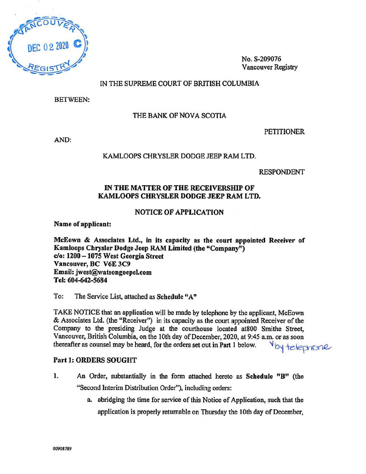

No. S-209076 Vancouver Registry

## IN THE SUPREME COURT OF BRITISH COLUMBIA

BETWEEN:

## THE BANK OF NOVA SCOTIA

AND:

#### PETITIONER

KAMLOOPS CHRYSLER DODGE JEEP RAM LTD.

RESPONDENT

## IN THE MATTER OF THE RECEIVERSHIP OF KAMLOOPS CHRYSLER DODGE JEEP RAM LTD.

#### NOTICE OF APPLICATION

Name of applicant:

McEown & Associates Ltd., in its capacity as the court appointed Receiver of Kamloops Chrysler Dodge Jeep RAM Limited (the "Company") do: 1200 — 1075 West Georgia Street Vancouver, BC V6E 3C9 Email: jwest@watsongoepel.com Tel: 604-642-5684

To: The Service List, attached as Schedule "A"

TAKE NOTICE that an application will be made by telephone by the applicant, McEown & Associates Ltd. (the "Receiver") in its capacity as the court appointed Receiver of the Company to the presiding Judge at the courthouse located at800 Smithe Street, Vancouver, British Columbia, on the 10th day of December, 2020, at 9:45 a.m. or as soon thereafter as counsel may be heard, for the orders set out in Part 1 below.  $\forall$  by telephone

## Part 1: ORDERS SOUGHT

- 1. An Order, substantially in the form attached hereto as Schedule "B" (the "Second Interim Distribution Order"), including orders:
	- a. abridging the time for service of this Notice of Application, such that the application is properly returnable on Thursday the 10th day of December,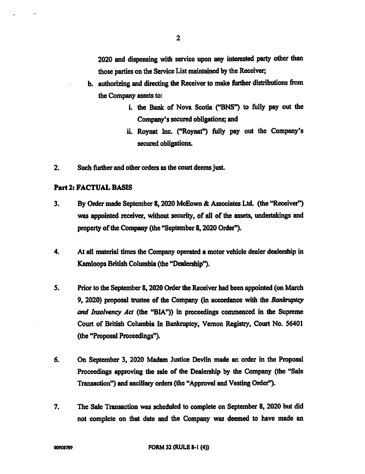2020 and dispensing with service upon any interested party other than those parties on the Service List maintained by the Receiver;

- b. authorizing and directing the Receiver to make further distributions from the Company assets to:
	- i. the Bank of Nova Scotia ("BNS") to fully pay out the Company's secured obligations; and
	- ii. Roynat Inc. ("Roynat") fully pay out the Company's secured obligations.
- 2. Such further and other orders as the court deems just.

## Part 2: FACTUAL BASIS

- 3. By Order made September 8, 2020 McEown & Associates Ltd. (the "Receiver") was appointed receiver, without security, of all of the assets, undertakings and property of the Company (the "September 8, 2020 Order").
- 4. At all material times the Company operated a motor vehicle dealer dealership in Kamloops British Columbia (the "Dealership").
- 5. Prior to the September 8, 2020 Order the Receiver had been appointed (on March 9, 2020) proposal trustee of the Company (in accordance with the Bankruptcy and Insolvency Act (the "BIA")) in proceedings commenced in the Supreme Court of British Columbia In Bankruptcy, Vernon Registry, Court No. 56401 (the "Proposal Proceedings").
- 6. On September 3, 2020 Madam Justice Devlin made an order in the Proposal Proceedings approving the sale of the Dealership by the Company (the "Sale Transaction") and ancillary orders (the "Approval and Vesting Order").
- 7. The Sale Transaction was scheduled to complete on September 8, 2020 but did not complete on that date and the Company was deemed to have made an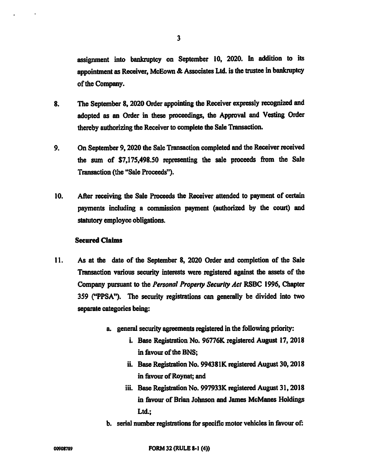assignment into bankruptcy on September 10, 2020. In addition to its appointment as Receiver, McEown & Associates Ltd. is the trustee in bankruptcy of the Company.

- 8. The September 8, 2020 Order appointing the Receiver expressly recognized and adopted as an Order in these proceedings, the Approval and Vesting Order thereby authorizing the Receiver to complete the Sale Transaction.
- 9. On September 9, 2020 the Sale Transaction completed and the Receiver received the sum of \$7,175,498.50 representing the sale proceeds from the Sale Transaction (the "Sale Proceeds").
- 10. After receiving the Sale Proceeds the Receiver attended to payment of certain payments including a commission payment (authorized by the court) and statutory employee obligations.

#### Secured Claims

- 11. As at the date of the September 8, 2020 Order and completion of the Sale Transaction various security interests were registered against the assets of the Company pursuant to the Personal Properly Security Act RSBC 1996, Chapter 359 ("PPSA"). The security registrations can generally be divided into two separate categories being:
	- a. general security agreements registered in the following priority:
		- i. Base Registration No. 96776K registered August 17, 2018 in favour of the BNS;
		- ii. Base Registration No. 994381K registered August 30, 2018 in favour of Roynat; and
		- iii. Base Registration No. 997933K registered August 31, 2018 in favour of Brian Johnson and James McManes Holdings Ltd.:
	- b. serial number registrations for specific motor vehicles in favour of:

3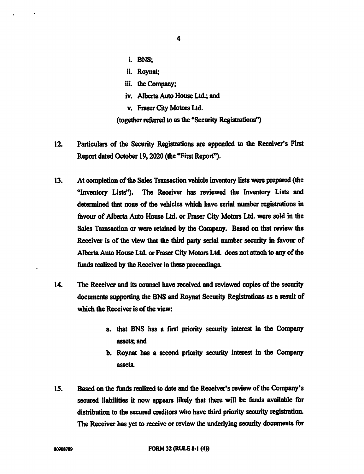- 4
- i. BNS;
- ii. Roynat;
- iii. the Company;
- iv. Alberta Auto House Ltd.; and
- v. Fraser City Motors Ltd.

(together referred to as the "Security Registrations")

- 12. Particulars of the Security Registrations are appended to the Receiver's First Report dated October 19, 2020 (the "First Report").
- 13. At completion of the Sales Transaction vehicle inventory lists were prepared (the "Inventory Lists"). The Receiver has reviewed the Inventory Lists and determined that none of the vehicles which have serial number registrations in favour of Alberta Auto House Ltd. or Fraser City Motors Ltd. were sold in the Sales Transaction or were retained by the Company. Based on that review the Receiver is of the view that the third party serial number security in favour of Alberta Auto House Ltd. or Fraser City Motors Ltd. does not attach to any of the funds realized by the Receiver in these proceedings.
- 14. The Receiver and its counsel have received and reviewed copies of the security documents supporting the BNS and Roynat Security Registrations as a result of which the Receiver is of the view:
	- a. that BNS has a first priority security interest in the Company assets; and
	- b. Roynat has a second priority security interest in the Company assets.
- 15. Based on the funds realized to date and the Receiver's review of the Company's secured liabilities it now appears likely that there will be funds available for distribution to the secured creditors who have third priority security registration. The Receiver has yet to receive or review the underlying security documents for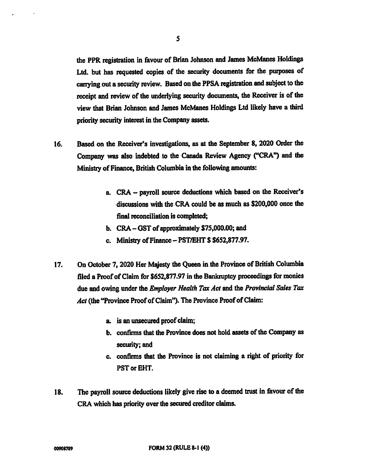the PPR registration in favour of Brian Johnson and James McManes Holdings Ltd. but has requested copies of the security documents for the purposes of carrying out a security review. Based on the PPSA registration and subject to the receipt and review of the underlying security documents, the Receiver is of the view that Brian Johnson and James McManes Holdings Ltd likely have a third priority security interest in the Company assets.

- 16. Based on the Receiver's investigations, as at the September 8, 2020 Order the Company was also indebted to the Canada Review Agency ("CRA") and the Ministry of Finance, British Columbia in the following amounts:
	- a. CRA payroll source deductions which based on the Receiver's discussions with the CRA could be as much as \$200,000 once the final reconciliation is completed;
	- b. CRA OST of approximately \$75,000.00; and
	- c. Ministry of Finance PST/EHT \$ \$652,877.97.
- 17. On October 7, 2020 Her Majesty the Queen in the Province of British Columbia filed a Proof of Claim for \$652,877.97 in the Bankruptcy proceedings for monies due and owing under the *Employer Health Tax Act* and the *Provincial Sales Tax* Act (the "Province Proof of Claim"). The Province Proof of Claim:
	- a. is an unsecured proof claim;
	- b. confirms that the Province does not hold assets of the Company as security; and
	- c. confirms that the Province is not claiming a right of priority for PST or EHT.
- 18. The payroll source deductions likely give rise to a deemed trust in favour of the CRA which has priority over the secured creditor claims.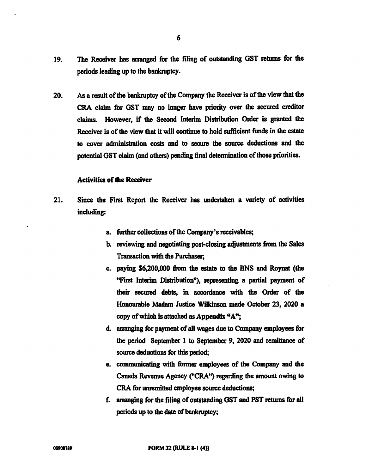- 19. The Receiver has arranged for the filing of outstanding GST returns for the periods leading up to the bankruptcy.
- 20. As a result of the bankruptcy of the Company the Receiver is of the view that the CRA claim for GST may no longer have priority over the secured creditor claims. However, if the Second Interim Distribution Order is granted the Receiver is of the view that it will continue to hold sufficient funds in the estate to cover administration costs and to secure the source deductions and the potential GST claim (and others) pending final determination of those priorities.

#### Activities of the Receiver

- 21. Since the First Report the Receiver has undertaken a variety of activities including:
	- a. further collections of the Company's receivables;
	- b. reviewing and negotiating post-closing adjustments from the Sales Transaction with the Purchaser;
	- c. paying \$6,200,000 from the estate to the BNS and Roynat (the "First Interim Distribution"), representing a partial payment of their secured debts, in accordance with the Order of the Honourable Madam Justice Wilkinson made October 23, 2020 a copy of which is attached as Appendix "A";
	- d. arranging for payment of all wages due to Company employees for the period September 1 to September 9, 2020 and remittance of source deductions for this period;
	- e. communicating with former employees of the Company and the Canada Revenue Agency ("CRA") regarding the amount owing to CRA for unremitted employee source deductions;
	- f. arranging for the filing of outstanding GST and PST returns for all periods up to the date of bankruptcy;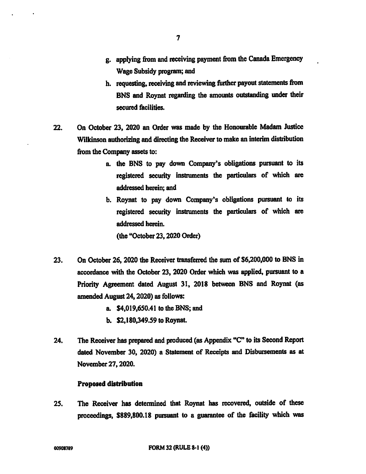- h. requesting, receiving and reviewing further payout statements from BNS and Roynat regarding the amounts outstanding under their secured facilities.
- 22. On October 23, 2020 an Order was made by the Honourable Madam Justice Wilkinson authorizing and directing the Receiver to make an interim distribution from the Company assets to:
	- a. the BNS to pay down Company's obligations pursuant to its registered security instruments the particulars of which are addressed herein; and
	- b. Roynat to pay down Company's obligations pursuant to its registered security instruments the particulars of which are addressed herein.

(the "October 23, 2020 Order)

- 23. On October 26, 2020 the Receiver transferred the sum of \$6,200,000 to BNS in accordance with the October 23, 2020 Order which was applied, pursuant to a Priority Agreement dated August 31, 2018 between BNS and Roynat (as amended August 24, 2020) as follows:
	- a. \$4,019,650.41 to the BNS; and
	- b. \$2,180,349.59 to Roynat.
- 24. The Receiver has prepared and produced (as Appendix "C" to its Second Report dated November 30, 2020) a Statement of Receipts and Disbursements as at November 27, 2020.

## Proposed distribution

25. The Receiver has determined that Roynat has recovered, outside of these proceedings, \$889,800.18 pursuant to a guarantee of the facility which was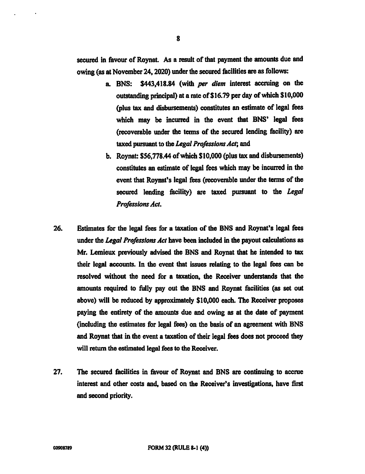secured in favour of Roynat. As a result of that payment the amounts due and owing (as at November 24, 2020) under the secured facilities are as follows:

- a. BNS: \$443,418.84 (with per diem interest accruing on the outstanding principal) at a rate of \$16.79 per day of which \$10,000 (plus tax and disbursements) constitutes an estimate of legal fees which may be incurred in the event that BNS' legal fees (recoverable under the terms of the secured lending facility) are taxed pursuant to the Legal Professions Act; and
- b. Roynat: \$56,778.44 of which \$10,000 (plus tax and disbursements) constitutes an estimate of legal fees which may be incurred in the event that Roynat's legal fees (recoverable under the terms of the secured lending facility) are taxed pursuant to the Legal Professions Act.
- 26. Estimates for the legal fees for a taxation of the BNS and Roynat's legal fees under the Legal Professions Act have been included in the payout calculations as Mr. Lemieux previously advised the BNS and Roynat that he intended to tax their legal accounts. In the event that issues relating to the legal fees can be resolved without the need for a taxation, the Receiver understands that the amounts required to fully pay out the BNS and Roynat facilities (as set out above) will be reduced by approximately \$10,000 each. The Receiver proposes paying the entirety of the amounts due and owing as at the date of payment (including the estimates for legal fees) on the basis of an agreement with BNS and Roynat that in the event a taxation of their legal fees does not proceed they will return the estimated legal fees to the Receiver.
- 27. The secured facilities in favour of Roynat and BNS are continuing to accrue interest and other costs and, based on the Receiver's investigations, have first and second priority.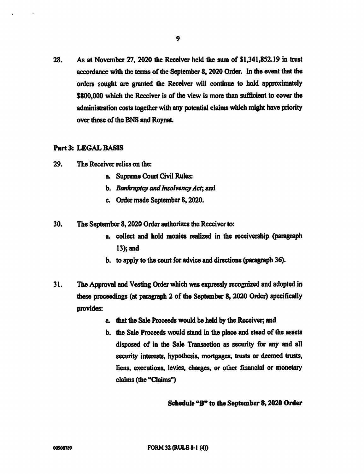28. As at November 27, 2020 the Receiver held the sum of \$1,341,852.19 in trust accordance with the terms of the September 8, 2020 Order. In the event that the orders sought are granted the Receiver will continue to hold approximately \$800,000 which the Receiver is of the view is more than sufficient to cover the administration costs together with any potential claims which might have priority over those of the BNS and Roynat.

#### Part 3: LEGAL BASIS

- 29. The Receiver relies on the:
	- a. Supreme Court Civil Rules:
	- b. Bankruptcy and Insolvency Act; and
	- c. Order made September 8, 2020.

30. The September 8, 2020 Order authorizes the Receiver to:

- a. collect and hold monies realized in the receivership (paragraph 13); and
- b. to apply to the court for advice and directions (paragraph 36).
- 31. The Approval and Vesting Order which was expressly recognized and adopted in these proceedings (at paragraph 2 of the September 8, 2020 Order) specifically provides:
	- a. that the Sale Proceeds would be held by the Receiver, and
	- b. the Sale Proceeds would stand in the place and stead of the assets disposed of in the Sale Transaction as security for any and all security interests, hypothesis, mortgages, trusts or deemed trusts, liens, executions, levies, charges, or other financial or monetary claims (the "Claims")

## Schedule "B" to the September 8, 2020 Order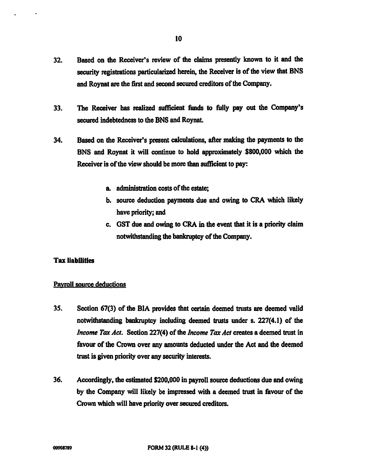- 32. Based on the Receiver's review of the claims presently known to it and the security registrations particularized herein, the Receiver is of the view that BNS and Roynat are the first and second secured creditors of the Company.
- 33. The Receiver has realized sufficient funds to fully pay out the Company's secured indebtedness to the BNS and Roynat.
- 34. Based on the Receiver's present calculations, after making the payments to the BNS and Roynat it will continue to hold approximately \$800,000 which the Receiver is of the view should be more than sufficient to pay:
	- a. administration costs of the estate;
	- b. source deduction payments due and owing to CRA which likely have priority; and
	- c. GST due and owing to CRA in the event that it is a priority claim notwithstanding the bankruptcy of the Company.

## Tax liabilities

#### Payroll source deductions

- 35. Section 67(3) of the BlA provides that certain deemed trusts are deemed valid notwithstanding bankruptcy including deemed trusts under s. 227(4.1) of the Income Tax Act. Section 227(4) of the Income Tax Act creates a deemed trust in favour of the Crown over any amounts deducted under the Act and the deemed trust is given priority over any security interests.
- 36. Accordingly, the estimated \$200,000 in payroll source deductions due and owing by the Company will likely be impressed with a deemed trust in favour of the Crown which will have priority over secured creditors.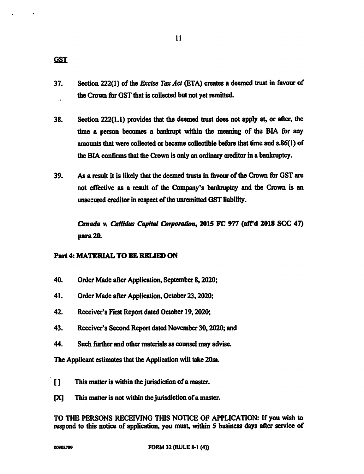**GST** 

- 37. Section 222(1) of the *Excise Tax Act* (ETA) creates a deemed trust in favour of the Crown for GST that is collected but not yet remitted.
- 38. Section 222(1.1) provides that the deemed trust does not apply at, or after, the time a person becomes a bankrupt within the meaning of the BIA for any amounts that were collected or became collectible before that time and s.86(1) of the BIA confirms that the Crown is only an ordinary creditor in a bankruptcy.
- 39. As a result it is likely that the deemed trusts in favour of the Crown for GST are not effective as a result of the Company's bankruptcy and the Crown is an unsecured creditor in respect of the unremitted GST liability.

Canada v. Callidus Capital Corporation, 2015 FC 977 (aff'd 2018 SCC 47) para 20.

## Part 4: MATERIAL TO BE RELIED ON

- 40. Order Made after Application, September 8, 2020;
- 41. Order Made after Application, October 23, 2020;
- 42. Receiver's First Report dated October 19, 2020;
- 43. Receiver's Second Report dated November 30, 2020; and
- 44. Such further and other materials as counsel may advise.

The Applicant estimates that the Application will take 20m.

- [ ] This matter is within the jurisdiction of a master.
- [X] This matter is not within the jurisdiction of a master.

TO THE PERSONS RECEIVING THIS NOTICE OF APPLICATION: If you wish to respond to this notice of application, you must, within 5 business days after service of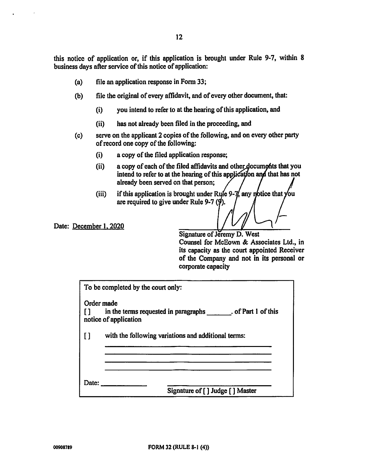this notice of application or, if this application is brought under Rule 9-7, within 8 business days after service of this notice of application:

- (a) file an application response in Form 33;
- (b) file the original of every affidavit, and of every other document, that:
	- (i) you intend to refer to at the hearing of this application, and
	- (ii) has not already been filed in the proceeding, and
- (c) serve on the applicant 2 copies of the following, and on every other party of record one copy of the following:
	- (i) a copy of the filed application response;
	- $(i)$  a copy of each of the filed affidavits and other documents that you intend to refer to at the hearing of this application and that has not already been served on that person;
	- (iii) if this application is brought under Rule 9- $\frac{1}{4}$  any notice that you are required to give under Rule 9-7  $(9)$ .

Date: December 1, 2020

Signature of Jeremy D. West Counsel for McEown & Associates Ltd., in its capacity as the court appointed Receiver of the Company and not in its personal or corporate capacity

|                | To be completed by the court only:                                                |  |
|----------------|-----------------------------------------------------------------------------------|--|
| Order made     | in the terms requested in paragraphs . of Part 1 of this<br>notice of application |  |
| $\blacksquare$ | with the following variations and additional terms:                               |  |
| Date:          | Signature of [] Judge [] Master                                                   |  |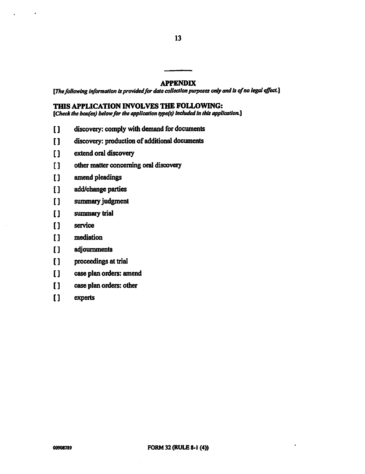## APPENDIX

13

[The following information is provided for data collection purposes only and is of no legal effect.]

## THIS APPLICATION INVOLVES THE FOLLOWING:

[Check the box(es) below for the application type(s) included in this application.]

- [] discovery: comply with demand for documents
- [ ] discovery: production of additional documents
- [] extend oral discovery
- [ ] other matter concerning oral discovery
- [] amend pleadings
- [] add/change parties
- [ ] summary judgment
- [] summary trial
- [ ] service
- [ ] mediation
- [ ] adjournments
- [] proceedings at trial
- [] case plan orders: amend
- [] case plan orders: other
- [ ] experts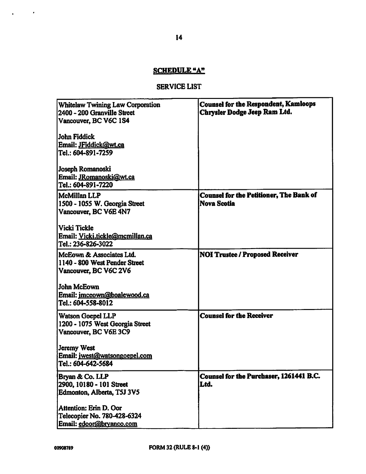## SCHEDULE "A"

## SERVICE LIST

| <b>Whitelaw Twining Law Corporation</b><br>2400 - 200 Granville Street<br>Vancouver, BC V6C 1S4<br>John Fiddick<br>Email: JFiddick@wt.ca<br>Tel.: 604-891-7259 | <b>Counsel for the Respondent, Kamloops</b><br>Chrysler Dodge Jeep Ram Ltd. |
|----------------------------------------------------------------------------------------------------------------------------------------------------------------|-----------------------------------------------------------------------------|
| Joseph Romanoski<br>Email: JRomanoski@wt.ca<br>Tel.: 604-891-7220                                                                                              |                                                                             |
| McMillan LLP<br>1500 - 1055 W. Georgia Street<br>Vancouver, BC V6E 4N7                                                                                         | <b>Counsel for the Petitioner, The Bank of</b><br><b>Nova Scotia</b>        |
| Vicki Tickle<br>Email: Vicki.tickle@mcmillan.ca<br>Tel.: 236-826-3022                                                                                          |                                                                             |
| McEown & Associates Ltd.<br>1140 - 800 West Pender Street<br>Vancouver, BC V6C 2V6                                                                             | <b>NOI Trustee / Proposed Receiver</b>                                      |
| <b>John McEown</b><br>Email: imceown@boalewood.ca<br>Tel.: 604-558-8012                                                                                        |                                                                             |
| <b>Watson Goepel LLP</b><br>1200 - 1075 West Georgia Street<br>Vancouver, BC V6E 3C9                                                                           | <b>Counsel for the Receiver</b>                                             |
| <b>Jeremy West</b><br>Email: jwest@watsongoepel.com<br>Tel.: 604-642-5684                                                                                      |                                                                             |
| Bryan & Co. LLP<br>2900, 10180 - 101 Street<br>Edmonton, Alberta, T5J 3V5                                                                                      | Counsel for the Purchaser, 1261441 B.C.<br>Ltd.                             |
| Attention: Erin D. Oor<br>Telecopier No. 780-428-6324<br>Email: edoor@bryanco.com                                                                              |                                                                             |

 $\mathcal{A}^{\mathcal{A}}$  , and  $\mathcal{A}^{\mathcal{A}}$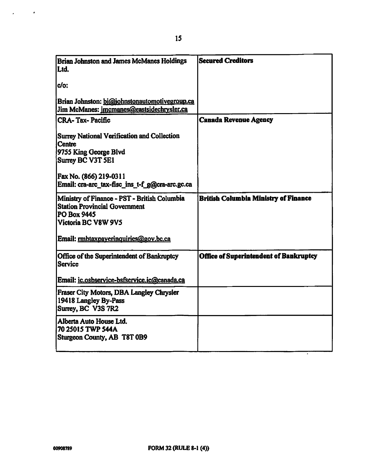| <b>Brian Johnston and James McManes Holdings</b><br>Ltd.                                                                   | <b>Secured Creditors</b>                      |
|----------------------------------------------------------------------------------------------------------------------------|-----------------------------------------------|
| do:                                                                                                                        |                                               |
| Brian Johnston: bi@johnstonautomotivegroup.ca<br>Jim McManes: imcmanes@eastsidechrysler.ca                                 |                                               |
| <b>CRA-Tax-Pacific</b>                                                                                                     | <b>Canada Revenue Agency</b>                  |
| Surrey National Verification and Collection<br><b>Centre</b><br>9755 King George Blvd<br>Surrey BC V3T 5E1                 |                                               |
| Fax No. (866) 219-0311<br>Email: cra-arc_tax-fisc_ins_t-f_g@cra-arc.gc.ca                                                  |                                               |
| Ministry of Finance - PST - British Columbia<br><b>Station Provincial Government</b><br>PO Box 9445<br>Victoria BC V8W 9V5 | <b>British Columbia Ministry of Finance</b>   |
| Email: mbtaxpayerinquiries@gov.bc.ca                                                                                       |                                               |
| Office of the Superintendent of Bankruptcy<br><b>Service</b>                                                               | <b>Office of Superintendent of Bankruptcy</b> |
| Email: ic.osbservice-bsfservice.ic@canada.ca                                                                               |                                               |
| Fraser City Motors, DBA Langley Chrysler<br>19418 Langley By-Pass<br>Surrey, BC V3S 7R2                                    |                                               |
| Alberta Auto House Ltd.<br>70 25015 TWP 544A<br>Sturgeon County, AB T8T 0B9                                                |                                               |

т,

 $\mathcal{L}^{\text{max}}_{\text{max}}$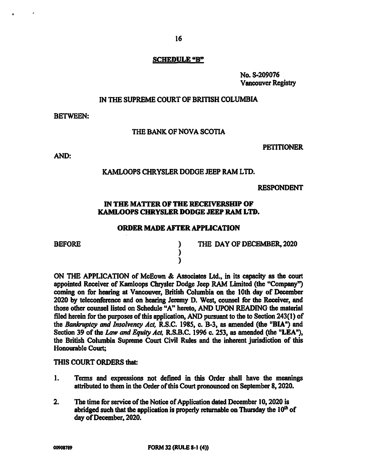#### SCHEDULE "B"

No. S-209076 Vancouver Registry

#### IN THE SUPREME COURT OF BRITISH COLUMBIA

BETWEEN:

#### THE BANK OF NOVA SCOTIA

PETITIONER

AND:

#### KAMLOOPS CHRYSLER DODGE JEEP RAM LTD.

#### RESPONDENT

## IN THE MATTER OF THE RECEIVERSHIP OF KAMLOOPS CHRYSLER DODGE JEEP RAM LTD.

#### ORDER MADE AFTER APPLICATION

) )

BEFORE ) THE DAY OF DECEMBER, 2020

ON THE APPLICATION of McEown & Associates Ltd., in its capacity as the court appointed Receiver of Kamloops Chrysler Dodge Jeep RAM Limited (the "Company") coming on for hearing at Vancouver, British Columbia on the 10th day of December 2020 by teleconference and on hearing Jeremy D. West, counsel for the Receiver, and those other counsel listed on Schedule "A" hereto, AND UPON READING the material filed herein for the purposes of this application, AND pursuant to the to Section 243(1) of the Bankruptcy and Insolvency Act, R.S.C. 1985, c. B-3, as amended (the "BIA") and Section 39 of the Law and Equity Act, R.S.B.C. 1996 c. 253, as amended (the "LEA"), the British Columbia Supreme Court Civil Rules and the inherent jurisdiction of this Honourable Court;

#### THIS COURT ORDERS that:

- 1. Terms and expressions not defined in this Order shall have the meanings attributed to them in the Order of this Court pronounced on September 8, 2020.
- 2. The time for service of the Notice of Application dated December 10, 2020 is abridged such that the application is properly returnable on Thursday the  $10<sup>th</sup>$  of day of December, 2020.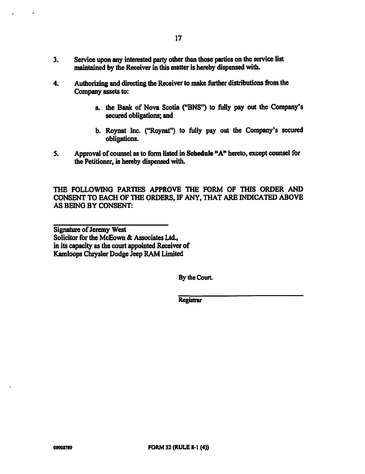- 4. Authorizing and directing the Receiver to make further distributions from the Company assets to:
	- a. the Bank of Nova Scotia ("BNS") to fully pay out the Company's secured obligations; and
	- b. Roynat Inc. ("Roynat") to fully pay out the Company's secured obligations.
- 5. Approval of counsel as to form listed in Schedule "A" hereto, except counsel for the Petitioner, is hereby dispensed with.

THE FOLLOWING PARTIES APPROVE THE FORM OF THIS ORDER AND CONSENT TO EACH OF THE ORDERS, IF ANY, THAT ARE INDICATED ABOVE AS BEING BY CONSENT:

Signature of Jeremy West Solicitor for the McEown & Associates Ltd., in its capacity as the court appointed Receiver of Kamloops Chrysler Dodge Jeep RAM Limited

By the Court.

**Registrar**